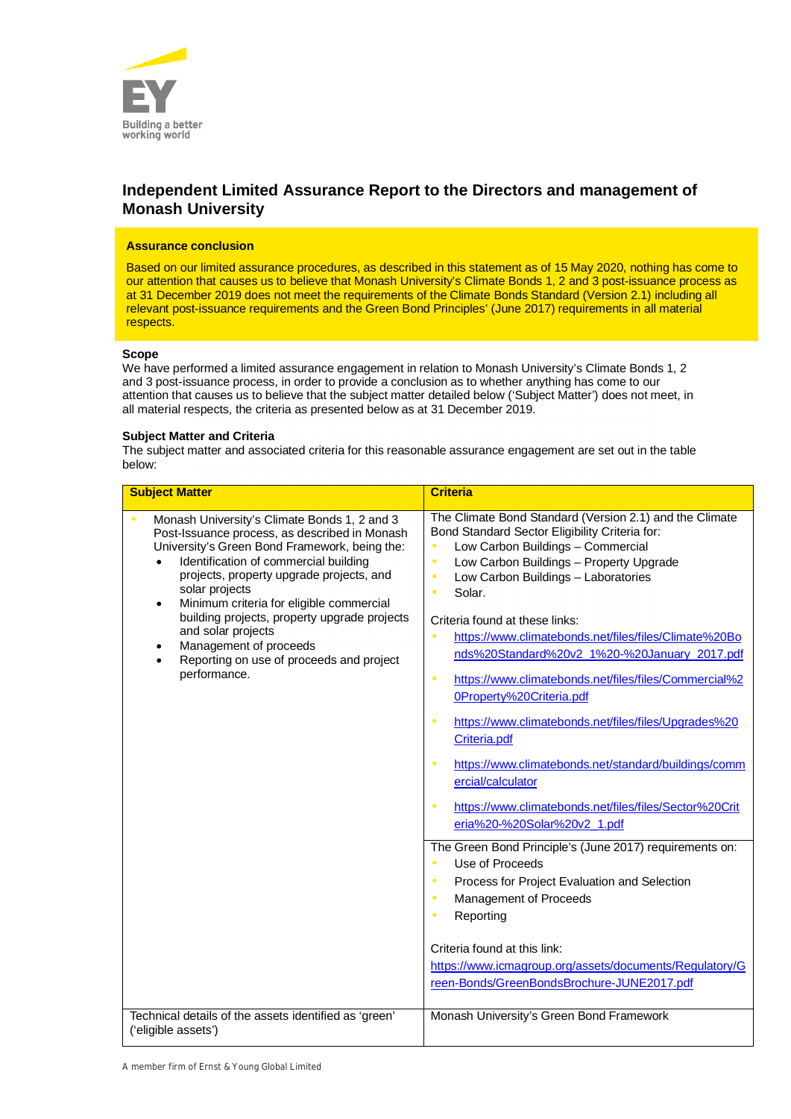

# **Independent Limited Assurance Report to the Directors and management of Monash University**

# **Assurance conclusion**

Based on our limited assurance procedures, as described in this statement as of 15 May 2020, nothing has come to our attention that causes us to believe that Monash University's Climate Bonds 1, 2 and 3 post-issuance process as at 31 December 2019 does not meet the requirements of the Climate Bonds Standard (Version 2.1) including all relevant post-issuance requirements and the Green Bond Principles' (June 2017) requirements in all material respects.

#### **Scope**

We have performed a limited assurance engagement in relation to Monash University's Climate Bonds 1, 2 and 3 post-issuance process, in order to provide a conclusion as to whether anything has come to our attention that causes us to believe that the subject matter detailed below ('Subject Matter') does not meet, in all material respects, the criteria as presented below as at 31 December 2019.

# **Subject Matter and Criteria**

The subject matter and associated criteria for this reasonable assurance engagement are set out in the table below:

| <b>Subject Matter</b>                                                                                                                                                                                                                                                                                                                                                                                                                                                           | <b>Criteria</b>                                                                                                                                                                                                                                                                                                                                                                                                                                                                                                                                                                                                                                                                                                                                                                                                     |
|---------------------------------------------------------------------------------------------------------------------------------------------------------------------------------------------------------------------------------------------------------------------------------------------------------------------------------------------------------------------------------------------------------------------------------------------------------------------------------|---------------------------------------------------------------------------------------------------------------------------------------------------------------------------------------------------------------------------------------------------------------------------------------------------------------------------------------------------------------------------------------------------------------------------------------------------------------------------------------------------------------------------------------------------------------------------------------------------------------------------------------------------------------------------------------------------------------------------------------------------------------------------------------------------------------------|
|                                                                                                                                                                                                                                                                                                                                                                                                                                                                                 |                                                                                                                                                                                                                                                                                                                                                                                                                                                                                                                                                                                                                                                                                                                                                                                                                     |
| Monash University's Climate Bonds 1, 2 and 3<br>Post-Issuance process, as described in Monash<br>University's Green Bond Framework, being the:<br>Identification of commercial building<br>projects, property upgrade projects, and<br>solar projects<br>Minimum criteria for eligible commercial<br>$\bullet$<br>building projects, property upgrade projects<br>and solar projects<br>Management of proceeds<br>٠<br>Reporting on use of proceeds and project<br>performance. | The Climate Bond Standard (Version 2.1) and the Climate<br>Bond Standard Sector Eligibility Criteria for:<br>Low Carbon Buildings - Commercial<br>$\bullet$<br>Low Carbon Buildings - Property Upgrade<br>$\bullet$<br>Low Carbon Buildings - Laboratories<br>$\bullet$<br>Solar.<br>$\bullet$<br>Criteria found at these links:<br>https://www.climatebonds.net/files/files/Climate%20Bo<br>$\bullet$<br>nds%20Standard%20v2_1%20-%20January_2017.pdf<br>https://www.climatebonds.net/files/files/Commercial%2<br>$\bullet$<br>OProperty%20Criteria.pdf<br>https://www.climatebonds.net/files/files/Upgrades%20<br>Criteria.pdf<br>https://www.climatebonds.net/standard/buildings/comm<br>ercial/calculator<br>https://www.climatebonds.net/files/files/Sector%20Crit<br>$\bullet$<br>eria%20-%20Solar%20v2_1.pdf |
|                                                                                                                                                                                                                                                                                                                                                                                                                                                                                 | The Green Bond Principle's (June 2017) requirements on:<br>Use of Proceeds<br>Process for Project Evaluation and Selection<br>$\bullet$<br>Management of Proceeds<br>$\bullet$<br>Reporting<br>Criteria found at this link:<br>https://www.icmagroup.org/assets/documents/Regulatory/G<br>reen-Bonds/GreenBondsBrochure-JUNE2017.pdf                                                                                                                                                                                                                                                                                                                                                                                                                                                                                |
| Technical details of the assets identified as 'green'<br>('eligible assets')                                                                                                                                                                                                                                                                                                                                                                                                    | Monash University's Green Bond Framework                                                                                                                                                                                                                                                                                                                                                                                                                                                                                                                                                                                                                                                                                                                                                                            |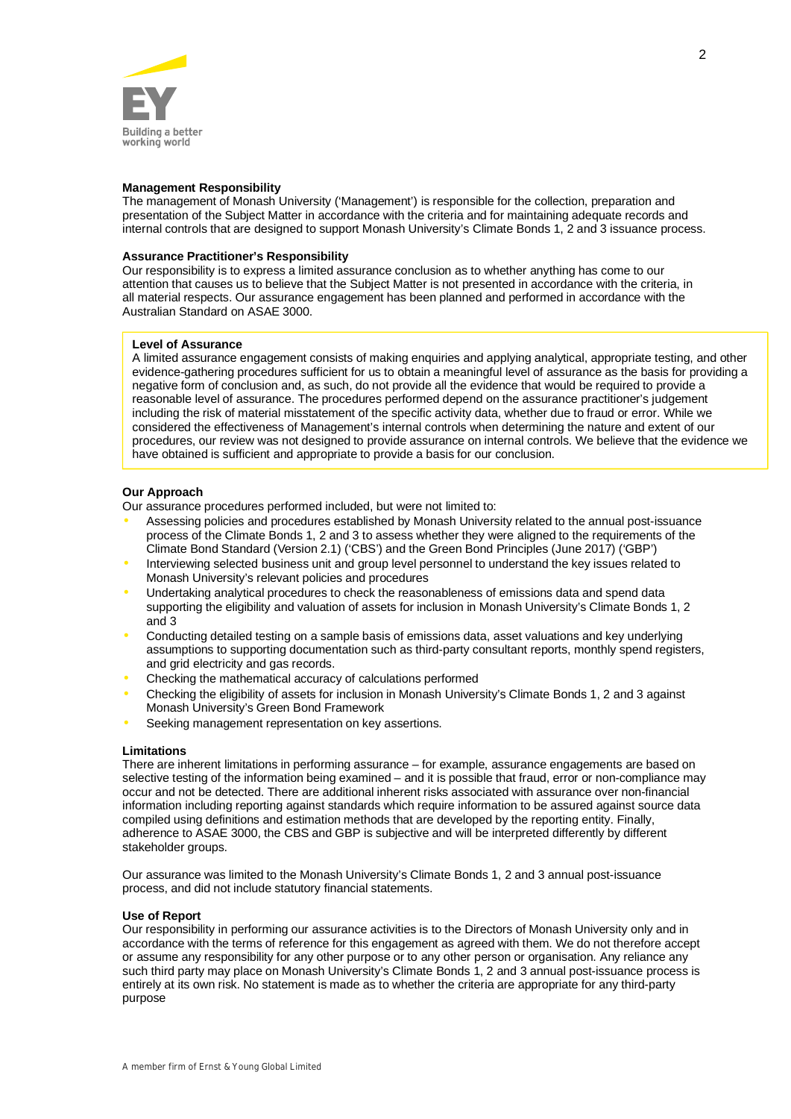

## **Management Responsibility**

The management of Monash University ('Management') is responsible for the collection, preparation and presentation of the Subject Matter in accordance with the criteria and for maintaining adequate records and internal controls that are designed to support Monash University's Climate Bonds 1, 2 and 3 issuance process.

#### **Assurance Practitioner's Responsibility**

Our responsibility is to express a limited assurance conclusion as to whether anything has come to our attention that causes us to believe that the Subject Matter is not presented in accordance with the criteria, in all material respects. Our assurance engagement has been planned and performed in accordance with the Australian Standard on ASAE 3000.

# **Level of Assurance**

A limited assurance engagement consists of making enquiries and applying analytical, appropriate testing, and other evidence-gathering procedures sufficient for us to obtain a meaningful level of assurance as the basis for providing a negative form of conclusion and, as such, do not provide all the evidence that would be required to provide a reasonable level of assurance. The procedures performed depend on the assurance practitioner's judgement including the risk of material misstatement of the specific activity data, whether due to fraud or error. While we considered the effectiveness of Management's internal controls when determining the nature and extent of our procedures, our review was not designed to provide assurance on internal controls. We believe that the evidence we have obtained is sufficient and appropriate to provide a basis for our conclusion.

# **Our Approach**

Our assurance procedures performed included, but were not limited to:

- Assessing policies and procedures established by Monash University related to the annual post-issuance process of the Climate Bonds 1, 2 and 3 to assess whether they were aligned to the requirements of the Climate Bond Standard (Version 2.1) ('CBS') and the Green Bond Principles (June 2017) ('GBP')
- Interviewing selected business unit and group level personnel to understand the key issues related to Monash University's relevant policies and procedures
- Undertaking analytical procedures to check the reasonableness of emissions data and spend data supporting the eligibility and valuation of assets for inclusion in Monash University's Climate Bonds 1, 2 and 3
- Conducting detailed testing on a sample basis of emissions data, asset valuations and key underlying assumptions to supporting documentation such as third-party consultant reports, monthly spend registers, and grid electricity and gas records.
- Checking the mathematical accuracy of calculations performed
- Checking the eligibility of assets for inclusion in Monash University's Climate Bonds 1, 2 and 3 against Monash University's Green Bond Framework
- Seeking management representation on key assertions.

## **Limitations**

There are inherent limitations in performing assurance – for example, assurance engagements are based on selective testing of the information being examined – and it is possible that fraud, error or non-compliance may occur and not be detected. There are additional inherent risks associated with assurance over non-financial information including reporting against standards which require information to be assured against source data compiled using definitions and estimation methods that are developed by the reporting entity. Finally, adherence to ASAE 3000, the CBS and GBP is subjective and will be interpreted differently by different stakeholder groups.

Our assurance was limited to the Monash University's Climate Bonds 1, 2 and 3 annual post-issuance process, and did not include statutory financial statements.

#### **Use of Report**

Our responsibility in performing our assurance activities is to the Directors of Monash University only and in accordance with the terms of reference for this engagement as agreed with them. We do not therefore accept or assume any responsibility for any other purpose or to any other person or organisation. Any reliance any such third party may place on Monash University's Climate Bonds 1, 2 and 3 annual post-issuance process is entirely at its own risk. No statement is made as to whether the criteria are appropriate for any third-party purpose